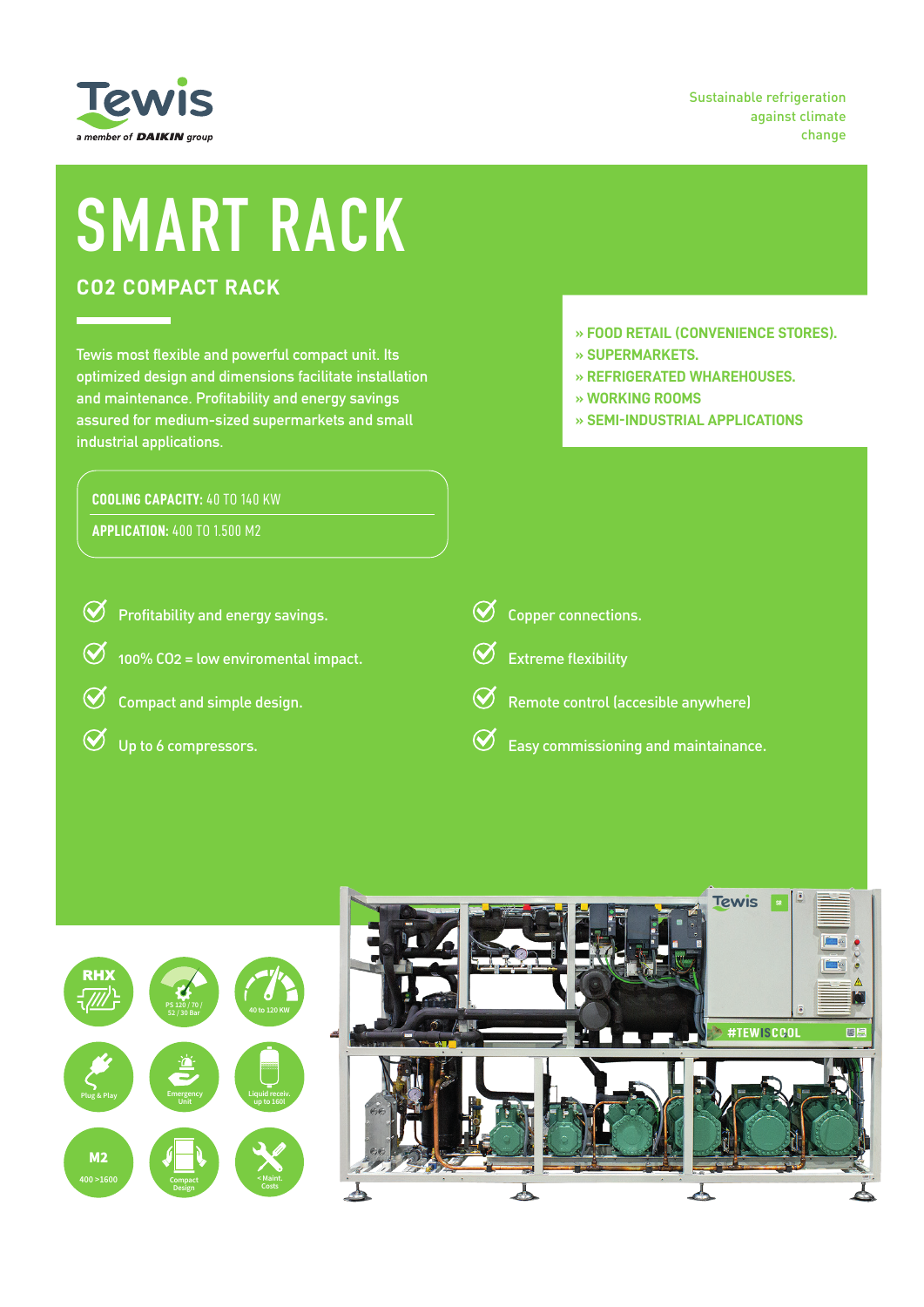

Sustainable refrigeration against climate change

# **SMART RACK**

# **CO2 COMPACT RACK**

**Tewis most flexible and powerful compact unit. Its optimized design and dimensions facilitate installation and maintenance. Profitability and energy savings assured for medium-sized supermarkets and small industrial applications.**

## **COOLING CAPACITY:** 40 TO 140 KW

**APPLICATION:** 400 TO 1.500 M2

- **» FOOD RETAIL (CONVENIENCE STORES).**
- **» SUPERMARKETS.**
- **» REFRIGERATED WHAREHOUSES.**
- **» WORKING ROOMS**
- **» SEMI-INDUSTRIAL APPLICATIONS**

| <b>S</b> Profitability and energy savings.          | $\oslash$ Copper connections.                              |
|-----------------------------------------------------|------------------------------------------------------------|
| $\bigotimes$ 100% CO2 = low enviromental impact.    | Extreme flexibility                                        |
| $\overline{\mathcal{O}}$ Compact and simple design. | $\Theta$ Remote control (accesible anywhere)               |
| $\overline{\mathcal{O}}$ Up to 6 compressors.       | $\overline{\text{C}}$ Easy commissioning and maintainance. |